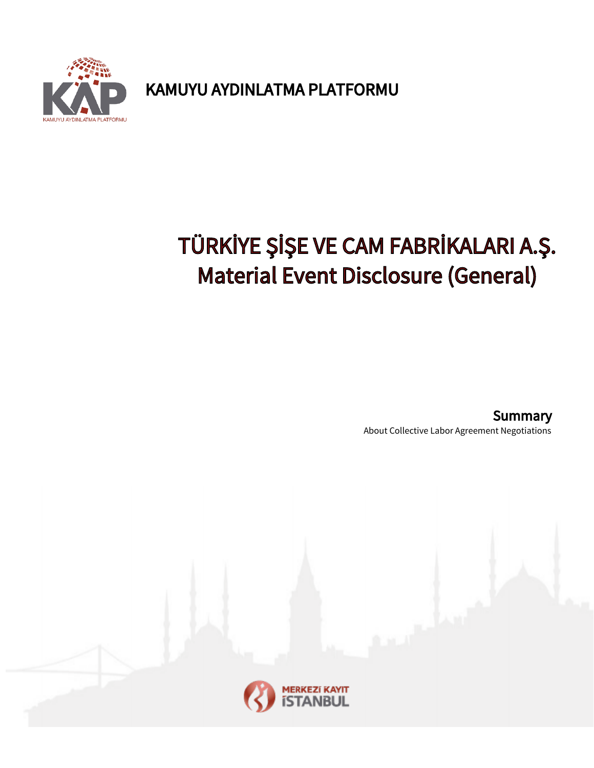

KAMUYU AYDINLATMA PLATFORMU

## TÜRKİYE ŞİŞE VE CAM FABRİKALARI A.Ş. Material Event Disclosure (General)

About Collective Labor Agreement Negotiations **Summary**